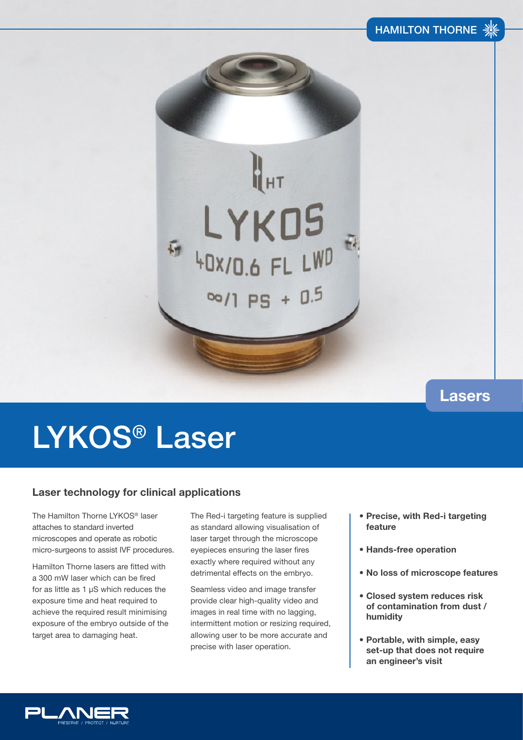# E LYKOS  $\frac{100}{1}$  PS + 0.5

### **Lasers**

## LYKOS® Laser

#### **Laser technology for clinical applications**

The Hamilton Thorne LYKOS® laser attaches to standard inverted microscopes and operate as robotic micro-surgeons to assist IVF procedures.

Hamilton Thorne lasers are fitted with a 300 mW laser which can be fired for as little as 1 µS which reduces the exposure time and heat required to achieve the required result minimising exposure of the embryo outside of the target area to damaging heat.

The Red-i targeting feature is supplied as standard allowing visualisation of laser target through the microscope eyepieces ensuring the laser fires exactly where required without any detrimental effects on the embryo.

Seamless video and image transfer provide clear high-quality video and images in real time with no lagging, intermittent motion or resizing required, allowing user to be more accurate and precise with laser operation.

- **Precise, with Red-i targeting feature**
- **Hands-free operation**
- **No loss of microscope features**
- **Closed system reduces risk of contamination from dust / humidity**
- **Portable, with simple, easy set-up that does not require an engineer's visit**